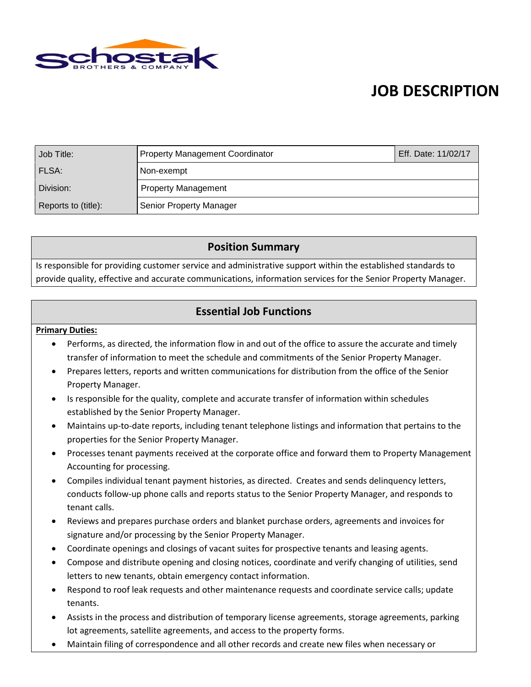

## **JOB DESCRIPTION**

| Job Title:          | <b>Property Management Coordinator</b> | Eff. Date: 11/02/17 |
|---------------------|----------------------------------------|---------------------|
| FLSA:               | Non-exempt                             |                     |
| Division:           | <b>Property Management</b>             |                     |
| Reports to (title): | Senior Property Manager                |                     |

### **Position Summary**

Is responsible for providing customer service and administrative support within the established standards to provide quality, effective and accurate communications, information services for the Senior Property Manager.

## **Essential Job Functions**

#### **Primary Duties:**

- Performs, as directed, the information flow in and out of the office to assure the accurate and timely transfer of information to meet the schedule and commitments of the Senior Property Manager.
- Prepares letters, reports and written communications for distribution from the office of the Senior Property Manager.
- Is responsible for the quality, complete and accurate transfer of information within schedules established by the Senior Property Manager.
- Maintains up-to-date reports, including tenant telephone listings and information that pertains to the properties for the Senior Property Manager.
- Processes tenant payments received at the corporate office and forward them to Property Management Accounting for processing.
- Compiles individual tenant payment histories, as directed. Creates and sends delinquency letters, conducts follow-up phone calls and reports status to the Senior Property Manager, and responds to tenant calls.
- Reviews and prepares purchase orders and blanket purchase orders, agreements and invoices for signature and/or processing by the Senior Property Manager.
- Coordinate openings and closings of vacant suites for prospective tenants and leasing agents.
- Compose and distribute opening and closing notices, coordinate and verify changing of utilities, send letters to new tenants, obtain emergency contact information.
- Respond to roof leak requests and other maintenance requests and coordinate service calls; update tenants.
- Assists in the process and distribution of temporary license agreements, storage agreements, parking lot agreements, satellite agreements, and access to the property forms.
- Maintain filing of correspondence and all other records and create new files when necessary or